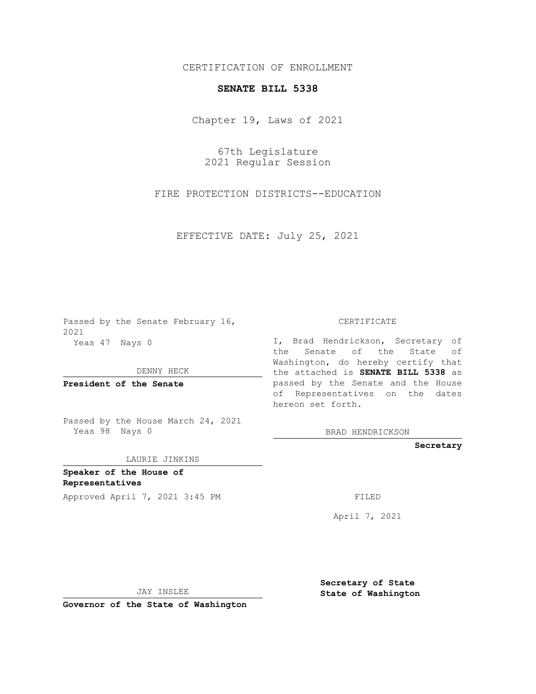## CERTIFICATION OF ENROLLMENT

## **SENATE BILL 5338**

Chapter 19, Laws of 2021

67th Legislature 2021 Regular Session

FIRE PROTECTION DISTRICTS--EDUCATION

EFFECTIVE DATE: July 25, 2021

Passed by the Senate February 16, 2021 Yeas 47 Nays 0

DENNY HECK

**President of the Senate**

Passed by the House March 24, 2021 Yeas 98 Nays 0

LAURIE JINKINS

**Speaker of the House of Representatives**

Approved April 7, 2021 3:45 PM FILED

CERTIFICATE

I, Brad Hendrickson, Secretary of the Senate of the State of Washington, do hereby certify that the attached is **SENATE BILL 5338** as passed by the Senate and the House of Representatives on the dates hereon set forth.

BRAD HENDRICKSON

**Secretary**

April 7, 2021

JAY INSLEE

**Governor of the State of Washington**

**Secretary of State State of Washington**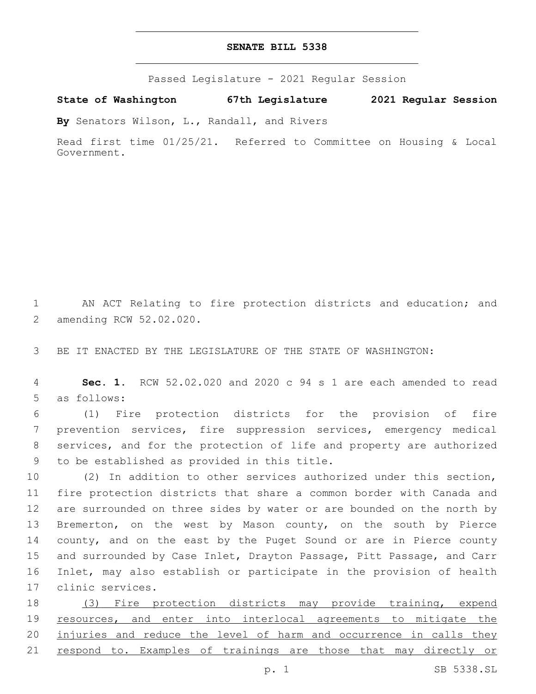## **SENATE BILL 5338**

Passed Legislature - 2021 Regular Session

**State of Washington 67th Legislature 2021 Regular Session**

**By** Senators Wilson, L., Randall, and Rivers

Read first time 01/25/21. Referred to Committee on Housing & Local Government.

1 AN ACT Relating to fire protection districts and education; and 2 amending RCW 52.02.020.

3 BE IT ENACTED BY THE LEGISLATURE OF THE STATE OF WASHINGTON:

4 **Sec. 1.** RCW 52.02.020 and 2020 c 94 s 1 are each amended to read 5 as follows:

 (1) Fire protection districts for the provision of fire prevention services, fire suppression services, emergency medical services, and for the protection of life and property are authorized to be established as provided in this title.9

 (2) In addition to other services authorized under this section, fire protection districts that share a common border with Canada and are surrounded on three sides by water or are bounded on the north by Bremerton, on the west by Mason county, on the south by Pierce county, and on the east by the Puget Sound or are in Pierce county and surrounded by Case Inlet, Drayton Passage, Pitt Passage, and Carr Inlet, may also establish or participate in the provision of health 17 clinic services.

18 (3) Fire protection districts may provide training, expend 19 resources, and enter into interlocal agreements to mitigate the 20 injuries and reduce the level of harm and occurrence in calls they 21 respond to. Examples of trainings are those that may directly or